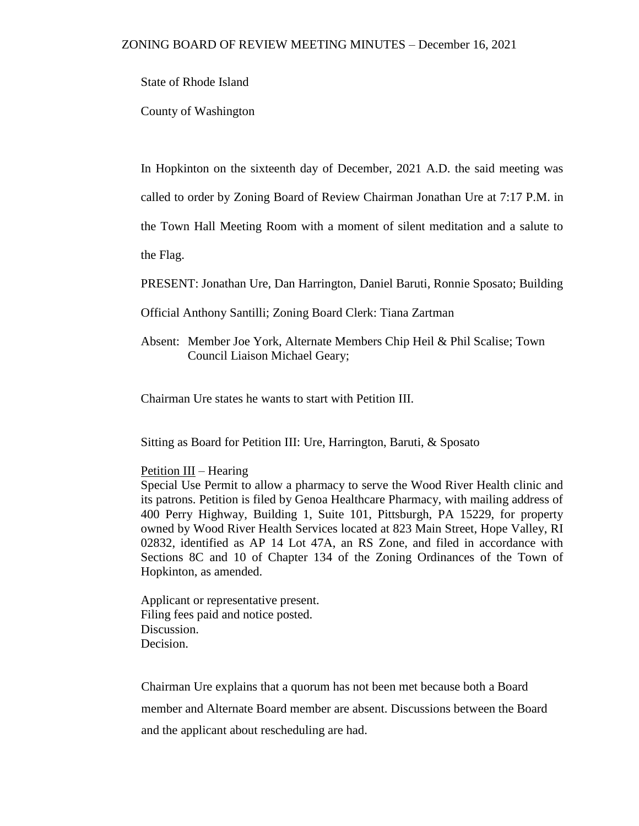State of Rhode Island

County of Washington

In Hopkinton on the sixteenth day of December, 2021 A.D. the said meeting was

called to order by Zoning Board of Review Chairman Jonathan Ure at 7:17 P.M. in

the Town Hall Meeting Room with a moment of silent meditation and a salute to

the Flag.

PRESENT: Jonathan Ure, Dan Harrington, Daniel Baruti, Ronnie Sposato; Building

- Official Anthony Santilli; Zoning Board Clerk: Tiana Zartman
- Absent: Member Joe York, Alternate Members Chip Heil & Phil Scalise; Town Council Liaison Michael Geary;

Chairman Ure states he wants to start with Petition III.

Sitting as Board for Petition III: Ure, Harrington, Baruti, & Sposato

## Petition III – Hearing

Special Use Permit to allow a pharmacy to serve the Wood River Health clinic and its patrons. Petition is filed by Genoa Healthcare Pharmacy, with mailing address of 400 Perry Highway, Building 1, Suite 101, Pittsburgh, PA 15229, for property owned by Wood River Health Services located at 823 Main Street, Hope Valley, RI 02832, identified as AP 14 Lot 47A, an RS Zone, and filed in accordance with Sections 8C and 10 of Chapter 134 of the Zoning Ordinances of the Town of Hopkinton, as amended.

Applicant or representative present. Filing fees paid and notice posted. Discussion. Decision.

Chairman Ure explains that a quorum has not been met because both a Board member and Alternate Board member are absent. Discussions between the Board and the applicant about rescheduling are had.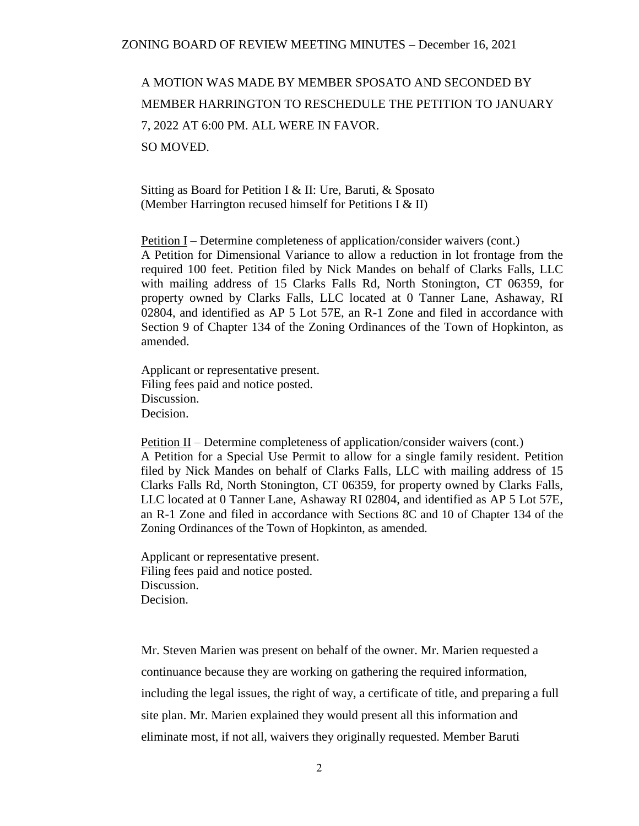A MOTION WAS MADE BY MEMBER SPOSATO AND SECONDED BY MEMBER HARRINGTON TO RESCHEDULE THE PETITION TO JANUARY 7, 2022 AT 6:00 PM. ALL WERE IN FAVOR. SO MOVED.

Sitting as Board for Petition I & II: Ure, Baruti, & Sposato (Member Harrington recused himself for Petitions I & II)

Petition I – Determine completeness of application/consider waivers (cont.) A Petition for Dimensional Variance to allow a reduction in lot frontage from the required 100 feet. Petition filed by Nick Mandes on behalf of Clarks Falls, LLC with mailing address of 15 Clarks Falls Rd, North Stonington, CT 06359, for property owned by Clarks Falls, LLC located at 0 Tanner Lane, Ashaway, RI 02804, and identified as AP 5 Lot 57E, an R-1 Zone and filed in accordance with Section 9 of Chapter 134 of the Zoning Ordinances of the Town of Hopkinton, as amended.

Applicant or representative present. Filing fees paid and notice posted. Discussion. Decision.

Petition II – Determine completeness of application/consider waivers (cont.) A Petition for a Special Use Permit to allow for a single family resident. Petition filed by Nick Mandes on behalf of Clarks Falls, LLC with mailing address of 15 Clarks Falls Rd, North Stonington, CT 06359, for property owned by Clarks Falls, LLC located at 0 Tanner Lane, Ashaway RI 02804, and identified as AP 5 Lot 57E, an R-1 Zone and filed in accordance with Sections 8C and 10 of Chapter 134 of the Zoning Ordinances of the Town of Hopkinton, as amended.

Applicant or representative present. Filing fees paid and notice posted. Discussion. Decision.

Mr. Steven Marien was present on behalf of the owner. Mr. Marien requested a continuance because they are working on gathering the required information, including the legal issues, the right of way, a certificate of title, and preparing a full site plan. Mr. Marien explained they would present all this information and eliminate most, if not all, waivers they originally requested. Member Baruti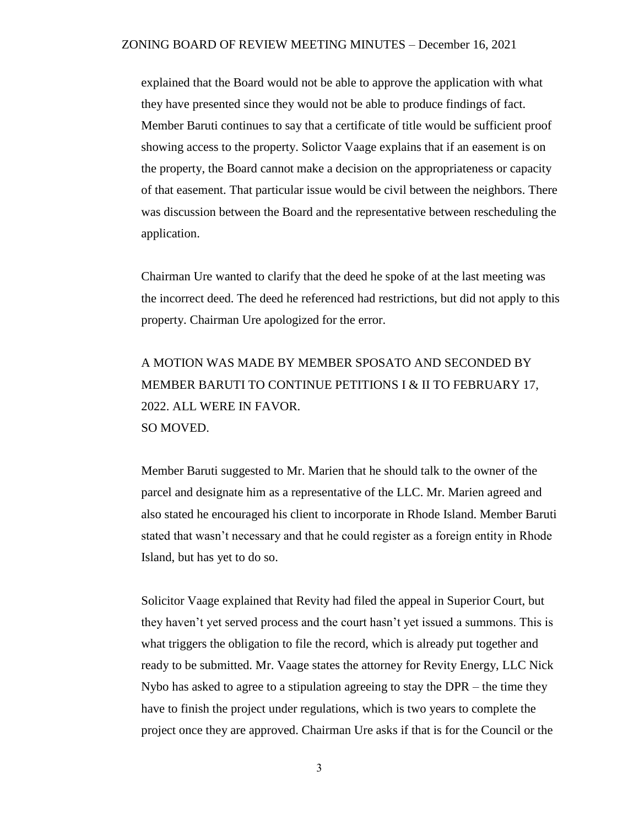## ZONING BOARD OF REVIEW MEETING MINUTES – December 16, 2021

explained that the Board would not be able to approve the application with what they have presented since they would not be able to produce findings of fact. Member Baruti continues to say that a certificate of title would be sufficient proof showing access to the property. Solictor Vaage explains that if an easement is on the property, the Board cannot make a decision on the appropriateness or capacity of that easement. That particular issue would be civil between the neighbors. There was discussion between the Board and the representative between rescheduling the application.

Chairman Ure wanted to clarify that the deed he spoke of at the last meeting was the incorrect deed. The deed he referenced had restrictions, but did not apply to this property. Chairman Ure apologized for the error.

A MOTION WAS MADE BY MEMBER SPOSATO AND SECONDED BY MEMBER BARUTI TO CONTINUE PETITIONS I & II TO FEBRUARY 17, 2022. ALL WERE IN FAVOR. SO MOVED.

Member Baruti suggested to Mr. Marien that he should talk to the owner of the parcel and designate him as a representative of the LLC. Mr. Marien agreed and also stated he encouraged his client to incorporate in Rhode Island. Member Baruti stated that wasn't necessary and that he could register as a foreign entity in Rhode Island, but has yet to do so.

Solicitor Vaage explained that Revity had filed the appeal in Superior Court, but they haven't yet served process and the court hasn't yet issued a summons. This is what triggers the obligation to file the record, which is already put together and ready to be submitted. Mr. Vaage states the attorney for Revity Energy, LLC Nick Nybo has asked to agree to a stipulation agreeing to stay the DPR – the time they have to finish the project under regulations, which is two years to complete the project once they are approved. Chairman Ure asks if that is for the Council or the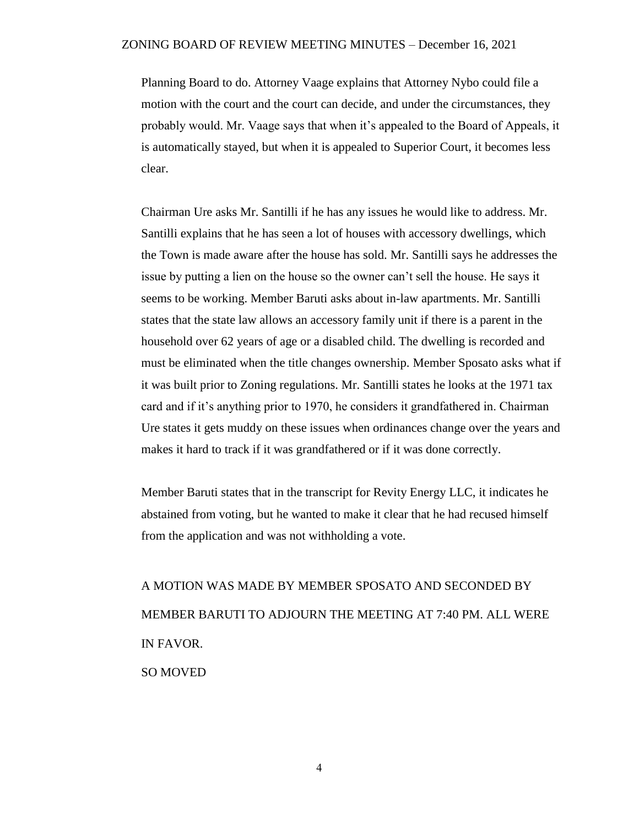## ZONING BOARD OF REVIEW MEETING MINUTES – December 16, 2021

Planning Board to do. Attorney Vaage explains that Attorney Nybo could file a motion with the court and the court can decide, and under the circumstances, they probably would. Mr. Vaage says that when it's appealed to the Board of Appeals, it is automatically stayed, but when it is appealed to Superior Court, it becomes less clear.

Chairman Ure asks Mr. Santilli if he has any issues he would like to address. Mr. Santilli explains that he has seen a lot of houses with accessory dwellings, which the Town is made aware after the house has sold. Mr. Santilli says he addresses the issue by putting a lien on the house so the owner can't sell the house. He says it seems to be working. Member Baruti asks about in-law apartments. Mr. Santilli states that the state law allows an accessory family unit if there is a parent in the household over 62 years of age or a disabled child. The dwelling is recorded and must be eliminated when the title changes ownership. Member Sposato asks what if it was built prior to Zoning regulations. Mr. Santilli states he looks at the 1971 tax card and if it's anything prior to 1970, he considers it grandfathered in. Chairman Ure states it gets muddy on these issues when ordinances change over the years and makes it hard to track if it was grandfathered or if it was done correctly.

Member Baruti states that in the transcript for Revity Energy LLC, it indicates he abstained from voting, but he wanted to make it clear that he had recused himself from the application and was not withholding a vote.

A MOTION WAS MADE BY MEMBER SPOSATO AND SECONDED BY MEMBER BARUTI TO ADJOURN THE MEETING AT 7:40 PM. ALL WERE IN FAVOR. SO MOVED